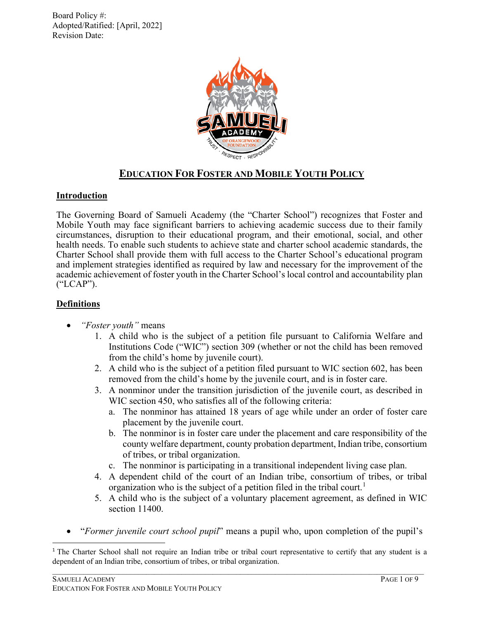

# **EDUCATION FOR FOSTER AND MOBILE YOUTH POLICY**

## **Introduction**

The Governing Board of Samueli Academy (the "Charter School") recognizes that Foster and Mobile Youth may face significant barriers to achieving academic success due to their family circumstances, disruption to their educational program, and their emotional, social, and other health needs. To enable such students to achieve state and charter school academic standards, the Charter School shall provide them with full access to the Charter School's educational program and implement strategies identified as required by law and necessary for the improvement of the academic achievement of foster youth in the Charter School's local control and accountability plan ("LCAP").

# **Definitions**

- *"Foster youth"* means
	- 1. A child who is the subject of a petition file pursuant to California Welfare and Institutions Code ("WIC") section 309 (whether or not the child has been removed from the child's home by juvenile court).
	- 2. A child who is the subject of a petition filed pursuant to WIC section 602, has been removed from the child's home by the juvenile court, and is in foster care.
	- 3. A nonminor under the transition jurisdiction of the juvenile court, as described in WIC section 450, who satisfies all of the following criteria:
		- a. The nonminor has attained 18 years of age while under an order of foster care placement by the juvenile court.
		- b. The nonminor is in foster care under the placement and care responsibility of the county welfare department, county probation department, Indian tribe, consortium of tribes, or tribal organization.
		- c. The nonminor is participating in a transitional independent living case plan.
	- 4. A dependent child of the court of an Indian tribe, consortium of tribes, or tribal organization who is the subject of a petition filed in the tribal court.<sup>[1](#page-0-0)</sup>
	- 5. A child who is the subject of a voluntary placement agreement, as defined in WIC section 11400.
- "*Former juvenile court school pupil*" means a pupil who, upon completion of the pupil's

<span id="page-0-0"></span> $\mathcal{L}_\mathcal{L} = \{ \mathcal{L}_\mathcal{L} = \{ \mathcal{L}_\mathcal{L} = \{ \mathcal{L}_\mathcal{L} = \{ \mathcal{L}_\mathcal{L} = \{ \mathcal{L}_\mathcal{L} = \{ \mathcal{L}_\mathcal{L} = \{ \mathcal{L}_\mathcal{L} = \{ \mathcal{L}_\mathcal{L} = \{ \mathcal{L}_\mathcal{L} = \{ \mathcal{L}_\mathcal{L} = \{ \mathcal{L}_\mathcal{L} = \{ \mathcal{L}_\mathcal{L} = \{ \mathcal{L}_\mathcal{L} = \{ \mathcal{L}_\mathcal{$ <sup>1</sup> The Charter School shall not require an Indian tribe or tribal court representative to certify that any student is a dependent of an Indian tribe, consortium of tribes, or tribal organization.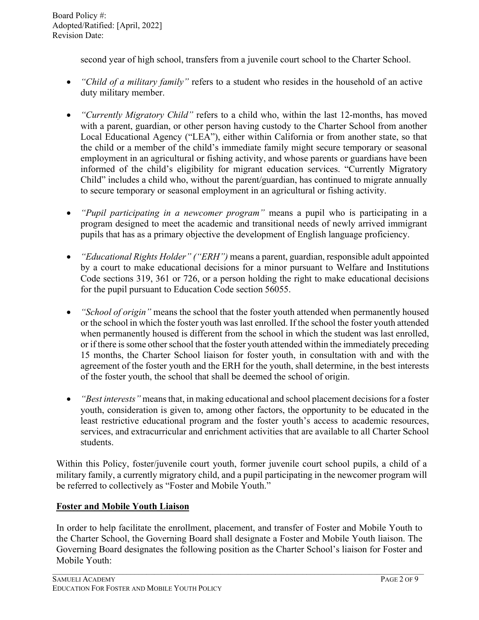second year of high school, transfers from a juvenile court school to the Charter School.

- *"Child of a military family"* refers to a student who resides in the household of an active duty military member.
- *"Currently Migratory Child"* refers to a child who, within the last 12-months, has moved with a parent, guardian, or other person having custody to the Charter School from another Local Educational Agency ("LEA"), either within California or from another state, so that the child or a member of the child's immediate family might secure temporary or seasonal employment in an agricultural or fishing activity, and whose parents or guardians have been informed of the child's eligibility for migrant education services. "Currently Migratory Child" includes a child who, without the parent/guardian, has continued to migrate annually to secure temporary or seasonal employment in an agricultural or fishing activity.
- *"Pupil participating in a newcomer program"* means a pupil who is participating in a program designed to meet the academic and transitional needs of newly arrived immigrant pupils that has as a primary objective the development of English language proficiency.
- *"Educational Rights Holder" ("ERH")* means a parent, guardian, responsible adult appointed by a court to make educational decisions for a minor pursuant to Welfare and Institutions Code sections 319, 361 or 726, or a person holding the right to make educational decisions for the pupil pursuant to Education Code section 56055.
- *"School of origin"* means the school that the foster youth attended when permanently housed or the school in which the foster youth was last enrolled. If the school the foster youth attended when permanently housed is different from the school in which the student was last enrolled, or if there is some other school that the foster youth attended within the immediately preceding 15 months, the Charter School liaison for foster youth, in consultation with and with the agreement of the foster youth and the ERH for the youth, shall determine, in the best interests of the foster youth, the school that shall be deemed the school of origin.
- *"Best interests"* means that, in making educational and school placement decisions for a foster youth, consideration is given to, among other factors, the opportunity to be educated in the least restrictive educational program and the foster youth's access to academic resources, services, and extracurricular and enrichment activities that are available to all Charter School students.

Within this Policy, foster/juvenile court youth, former juvenile court school pupils, a child of a military family, a currently migratory child, and a pupil participating in the newcomer program will be referred to collectively as "Foster and Mobile Youth."

## **Foster and Mobile Youth Liaison**

In order to help facilitate the enrollment, placement, and transfer of Foster and Mobile Youth to the Charter School, the Governing Board shall designate a Foster and Mobile Youth liaison. The Governing Board designates the following position as the Charter School's liaison for Foster and Mobile Youth: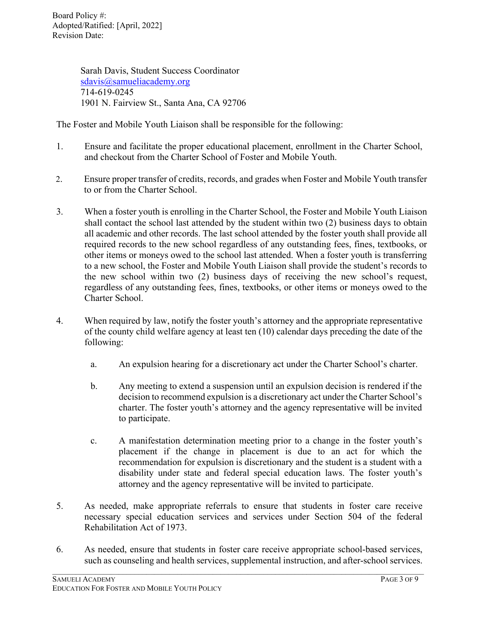> Sarah Davis, Student Success Coordinator [sdavis@samueliacademy.org](mailto:sdavis@samueliacademy.org) 714-619-0245 1901 N. Fairview St., Santa Ana, CA 92706

The Foster and Mobile Youth Liaison shall be responsible for the following:

- 1. Ensure and facilitate the proper educational placement, enrollment in the Charter School, and checkout from the Charter School of Foster and Mobile Youth.
- 2. Ensure proper transfer of credits, records, and grades when Foster and Mobile Youth transfer to or from the Charter School.
- 3. When a foster youth is enrolling in the Charter School, the Foster and Mobile Youth Liaison shall contact the school last attended by the student within two (2) business days to obtain all academic and other records. The last school attended by the foster youth shall provide all required records to the new school regardless of any outstanding fees, fines, textbooks, or other items or moneys owed to the school last attended. When a foster youth is transferring to a new school, the Foster and Mobile Youth Liaison shall provide the student's records to the new school within two (2) business days of receiving the new school's request, regardless of any outstanding fees, fines, textbooks, or other items or moneys owed to the Charter School.
- 4. When required by law, notify the foster youth's attorney and the appropriate representative of the county child welfare agency at least ten (10) calendar days preceding the date of the following:
	- a. An expulsion hearing for a discretionary act under the Charter School's charter.
	- b. Any meeting to extend a suspension until an expulsion decision is rendered if the decision to recommend expulsion is a discretionary act under the Charter School's charter. The foster youth's attorney and the agency representative will be invited to participate.
	- c. A manifestation determination meeting prior to a change in the foster youth's placement if the change in placement is due to an act for which the recommendation for expulsion is discretionary and the student is a student with a disability under state and federal special education laws. The foster youth's attorney and the agency representative will be invited to participate.
- 5. As needed, make appropriate referrals to ensure that students in foster care receive necessary special education services and services under Section 504 of the federal Rehabilitation Act of 1973.
- 6. As needed, ensure that students in foster care receive appropriate school-based services, such as counseling and health services, supplemental instruction, and after-school services.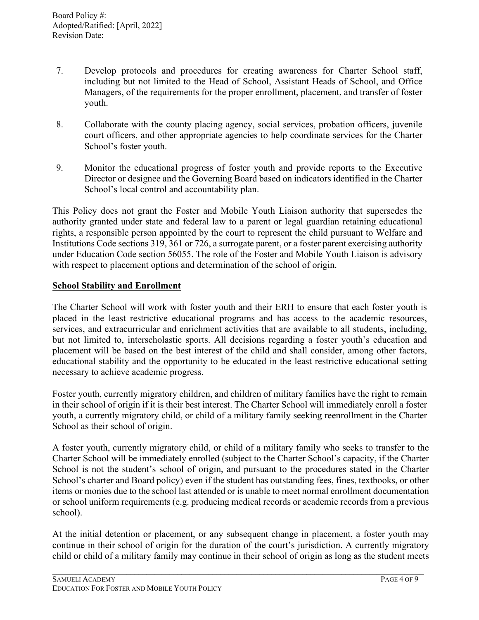- 7. Develop protocols and procedures for creating awareness for Charter School staff, including but not limited to the Head of School, Assistant Heads of School, and Office Managers, of the requirements for the proper enrollment, placement, and transfer of foster youth.
- 8. Collaborate with the county placing agency, social services, probation officers, juvenile court officers, and other appropriate agencies to help coordinate services for the Charter School's foster youth.
- 9. Monitor the educational progress of foster youth and provide reports to the Executive Director or designee and the Governing Board based on indicators identified in the Charter School's local control and accountability plan.

This Policy does not grant the Foster and Mobile Youth Liaison authority that supersedes the authority granted under state and federal law to a parent or legal guardian retaining educational rights, a responsible person appointed by the court to represent the child pursuant to Welfare and Institutions Code sections 319, 361 or 726, a surrogate parent, or a foster parent exercising authority under Education Code section 56055. The role of the Foster and Mobile Youth Liaison is advisory with respect to placement options and determination of the school of origin.

#### **School Stability and Enrollment**

The Charter School will work with foster youth and their ERH to ensure that each foster youth is placed in the least restrictive educational programs and has access to the academic resources, services, and extracurricular and enrichment activities that are available to all students, including, but not limited to, interscholastic sports. All decisions regarding a foster youth's education and placement will be based on the best interest of the child and shall consider, among other factors, educational stability and the opportunity to be educated in the least restrictive educational setting necessary to achieve academic progress.

Foster youth, currently migratory children, and children of military families have the right to remain in their school of origin if it is their best interest. The Charter School will immediately enroll a foster youth, a currently migratory child, or child of a military family seeking reenrollment in the Charter School as their school of origin.

A foster youth, currently migratory child, or child of a military family who seeks to transfer to the Charter School will be immediately enrolled (subject to the Charter School's capacity, if the Charter School is not the student's school of origin, and pursuant to the procedures stated in the Charter School's charter and Board policy) even if the student has outstanding fees, fines, textbooks, or other items or monies due to the school last attended or is unable to meet normal enrollment documentation or school uniform requirements (e.g. producing medical records or academic records from a previous school).

At the initial detention or placement, or any subsequent change in placement, a foster youth may continue in their school of origin for the duration of the court's jurisdiction. A currently migratory child or child of a military family may continue in their school of origin as long as the student meets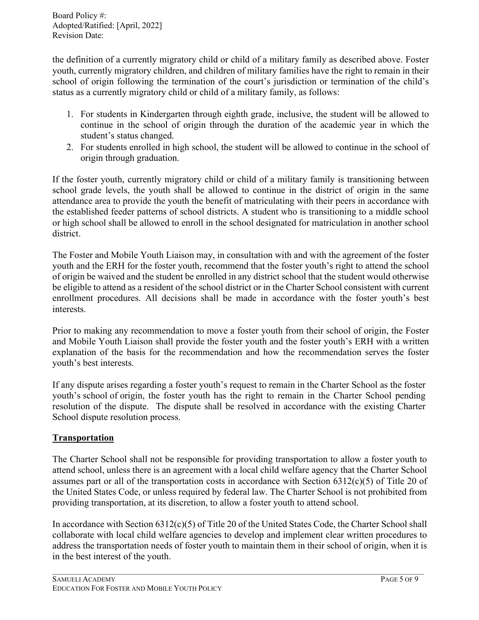the definition of a currently migratory child or child of a military family as described above. Foster youth, currently migratory children, and children of military families have the right to remain in their school of origin following the termination of the court's jurisdiction or termination of the child's status as a currently migratory child or child of a military family, as follows:

- 1. For students in Kindergarten through eighth grade, inclusive, the student will be allowed to continue in the school of origin through the duration of the academic year in which the student's status changed.
- 2. For students enrolled in high school, the student will be allowed to continue in the school of origin through graduation.

If the foster youth, currently migratory child or child of a military family is transitioning between school grade levels, the youth shall be allowed to continue in the district of origin in the same attendance area to provide the youth the benefit of matriculating with their peers in accordance with the established feeder patterns of school districts. A student who is transitioning to a middle school or high school shall be allowed to enroll in the school designated for matriculation in another school district.

The Foster and Mobile Youth Liaison may, in consultation with and with the agreement of the foster youth and the ERH for the foster youth, recommend that the foster youth's right to attend the school of origin be waived and the student be enrolled in any district school that the student would otherwise be eligible to attend as a resident of the school district or in the Charter School consistent with current enrollment procedures. All decisions shall be made in accordance with the foster youth's best interests.

Prior to making any recommendation to move a foster youth from their school of origin, the Foster and Mobile Youth Liaison shall provide the foster youth and the foster youth's ERH with a written explanation of the basis for the recommendation and how the recommendation serves the foster youth's best interests.

If any dispute arises regarding a foster youth's request to remain in the Charter School as the foster youth's school of origin, the foster youth has the right to remain in the Charter School pending resolution of the dispute. The dispute shall be resolved in accordance with the existing Charter School dispute resolution process.

# **Transportation**

The Charter School shall not be responsible for providing transportation to allow a foster youth to attend school, unless there is an agreement with a local child welfare agency that the Charter School assumes part or all of the transportation costs in accordance with Section 6312(c)(5) of Title 20 of the United States Code, or unless required by federal law. The Charter School is not prohibited from providing transportation, at its discretion, to allow a foster youth to attend school.

In accordance with Section 6312(c)(5) of Title 20 of the United States Code, the Charter School shall collaborate with local child welfare agencies to develop and implement clear written procedures to address the transportation needs of foster youth to maintain them in their school of origin, when it is in the best interest of the youth.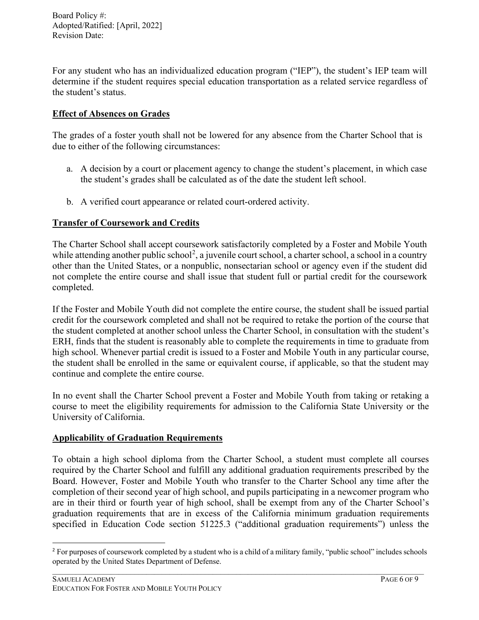For any student who has an individualized education program ("IEP"), the student's IEP team will determine if the student requires special education transportation as a related service regardless of the student's status.

# **Effect of Absences on Grades**

The grades of a foster youth shall not be lowered for any absence from the Charter School that is due to either of the following circumstances:

- a. A decision by a court or placement agency to change the student's placement, in which case the student's grades shall be calculated as of the date the student left school.
- b. A verified court appearance or related court-ordered activity.

# **Transfer of Coursework and Credits**

The Charter School shall accept coursework satisfactorily completed by a Foster and Mobile Youth while attending another public school<sup>[2](#page-5-0)</sup>, a juvenile court school, a charter school, a school in a country other than the United States, or a nonpublic, nonsectarian school or agency even if the student did not complete the entire course and shall issue that student full or partial credit for the coursework completed.

If the Foster and Mobile Youth did not complete the entire course, the student shall be issued partial credit for the coursework completed and shall not be required to retake the portion of the course that the student completed at another school unless the Charter School, in consultation with the student's ERH, finds that the student is reasonably able to complete the requirements in time to graduate from high school. Whenever partial credit is issued to a Foster and Mobile Youth in any particular course, the student shall be enrolled in the same or equivalent course, if applicable, so that the student may continue and complete the entire course.

In no event shall the Charter School prevent a Foster and Mobile Youth from taking or retaking a course to meet the eligibility requirements for admission to the California State University or the University of California.

# **Applicability of Graduation Requirements**

To obtain a high school diploma from the Charter School, a student must complete all courses required by the Charter School and fulfill any additional graduation requirements prescribed by the Board. However, Foster and Mobile Youth who transfer to the Charter School any time after the completion of their second year of high school, and pupils participating in a newcomer program who are in their third or fourth year of high school, shall be exempt from any of the Charter School's graduation requirements that are in excess of the California minimum graduation requirements specified in Education Code section 51225.3 ("additional graduation requirements") unless the

<span id="page-5-0"></span> $\mathcal{L}_\mathcal{L} = \{ \mathcal{L}_\mathcal{L} = \{ \mathcal{L}_\mathcal{L} = \{ \mathcal{L}_\mathcal{L} = \{ \mathcal{L}_\mathcal{L} = \{ \mathcal{L}_\mathcal{L} = \{ \mathcal{L}_\mathcal{L} = \{ \mathcal{L}_\mathcal{L} = \{ \mathcal{L}_\mathcal{L} = \{ \mathcal{L}_\mathcal{L} = \{ \mathcal{L}_\mathcal{L} = \{ \mathcal{L}_\mathcal{L} = \{ \mathcal{L}_\mathcal{L} = \{ \mathcal{L}_\mathcal{L} = \{ \mathcal{L}_\mathcal{$ <sup>2</sup> For purposes of coursework completed by a student who is a child of a military family, "public school" includes schools operated by the United States Department of Defense.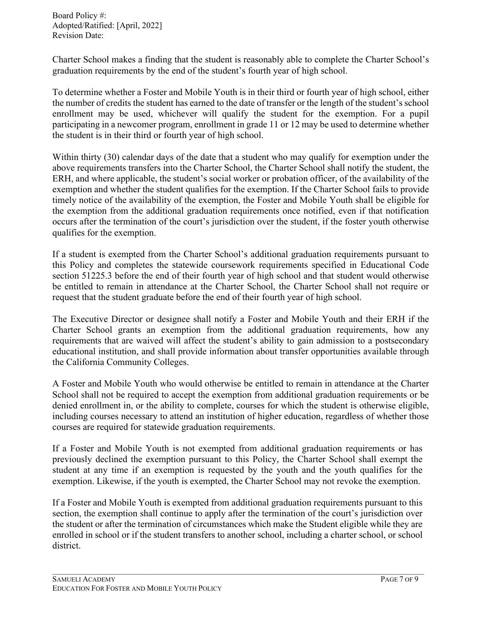Charter School makes a finding that the student is reasonably able to complete the Charter School's graduation requirements by the end of the student's fourth year of high school.

To determine whether a Foster and Mobile Youth is in their third or fourth year of high school, either the number of credits the student has earned to the date of transfer or the length of the student's school enrollment may be used, whichever will qualify the student for the exemption. For a pupil participating in a newcomer program, enrollment in grade 11 or 12 may be used to determine whether the student is in their third or fourth year of high school.

Within thirty (30) calendar days of the date that a student who may qualify for exemption under the above requirements transfers into the Charter School, the Charter School shall notify the student, the ERH, and where applicable, the student's social worker or probation officer, of the availability of the exemption and whether the student qualifies for the exemption. If the Charter School fails to provide timely notice of the availability of the exemption, the Foster and Mobile Youth shall be eligible for the exemption from the additional graduation requirements once notified, even if that notification occurs after the termination of the court's jurisdiction over the student, if the foster youth otherwise qualifies for the exemption.

If a student is exempted from the Charter School's additional graduation requirements pursuant to this Policy and completes the statewide coursework requirements specified in Educational Code section 51225.3 before the end of their fourth year of high school and that student would otherwise be entitled to remain in attendance at the Charter School, the Charter School shall not require or request that the student graduate before the end of their fourth year of high school.

The Executive Director or designee shall notify a Foster and Mobile Youth and their ERH if the Charter School grants an exemption from the additional graduation requirements, how any requirements that are waived will affect the student's ability to gain admission to a postsecondary educational institution, and shall provide information about transfer opportunities available through the California Community Colleges.

A Foster and Mobile Youth who would otherwise be entitled to remain in attendance at the Charter School shall not be required to accept the exemption from additional graduation requirements or be denied enrollment in, or the ability to complete, courses for which the student is otherwise eligible, including courses necessary to attend an institution of higher education, regardless of whether those courses are required for statewide graduation requirements.

If a Foster and Mobile Youth is not exempted from additional graduation requirements or has previously declined the exemption pursuant to this Policy, the Charter School shall exempt the student at any time if an exemption is requested by the youth and the youth qualifies for the exemption. Likewise, if the youth is exempted, the Charter School may not revoke the exemption.

If a Foster and Mobile Youth is exempted from additional graduation requirements pursuant to this section, the exemption shall continue to apply after the termination of the court's jurisdiction over the student or after the termination of circumstances which make the Student eligible while they are enrolled in school or if the student transfers to another school, including a charter school, or school district.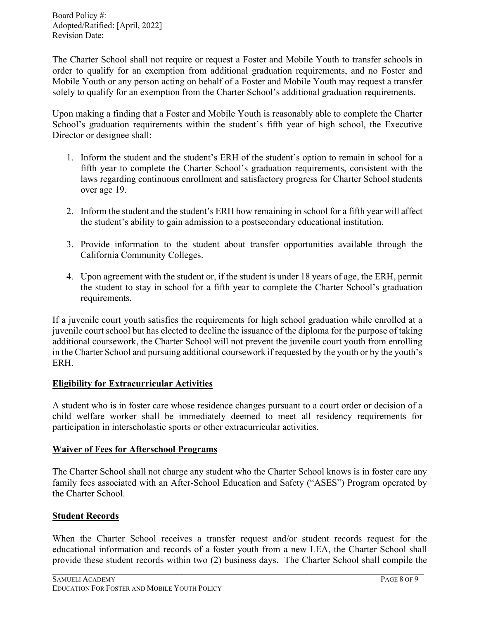The Charter School shall not require or request a Foster and Mobile Youth to transfer schools in order to qualify for an exemption from additional graduation requirements, and no Foster and Mobile Youth or any person acting on behalf of a Foster and Mobile Youth may request a transfer solely to qualify for an exemption from the Charter School's additional graduation requirements.

Upon making a finding that a Foster and Mobile Youth is reasonably able to complete the Charter School's graduation requirements within the student's fifth year of high school, the Executive Director or designee shall:

- 1. Inform the student and the student's ERH of the student's option to remain in school for a fifth year to complete the Charter School's graduation requirements, consistent with the laws regarding continuous enrollment and satisfactory progress for Charter School students over age 19.
- 2. Inform the student and the student's ERH how remaining in school for a fifth year will affect the student's ability to gain admission to a postsecondary educational institution.
- 3. Provide information to the student about transfer opportunities available through the California Community Colleges.
- 4. Upon agreement with the student or, if the student is under 18 years of age, the ERH, permit the student to stay in school for a fifth year to complete the Charter School's graduation requirements.

If a juvenile court youth satisfies the requirements for high school graduation while enrolled at a juvenile court school but has elected to decline the issuance of the diploma for the purpose of taking additional coursework, the Charter School will not prevent the juvenile court youth from enrolling in the Charter School and pursuing additional coursework if requested by the youth or by the youth's ERH.

## **Eligibility for Extracurricular Activities**

A student who is in foster care whose residence changes pursuant to a court order or decision of a child welfare worker shall be immediately deemed to meet all residency requirements for participation in interscholastic sports or other extracurricular activities.

## **Waiver of Fees for Afterschool Programs**

The Charter School shall not charge any student who the Charter School knows is in foster care any family fees associated with an After-School Education and Safety ("ASES") Program operated by the Charter School.

## **Student Records**

When the Charter School receives a transfer request and/or student records request for the educational information and records of a foster youth from a new LEA, the Charter School shall provide these student records within two (2) business days. The Charter School shall compile the